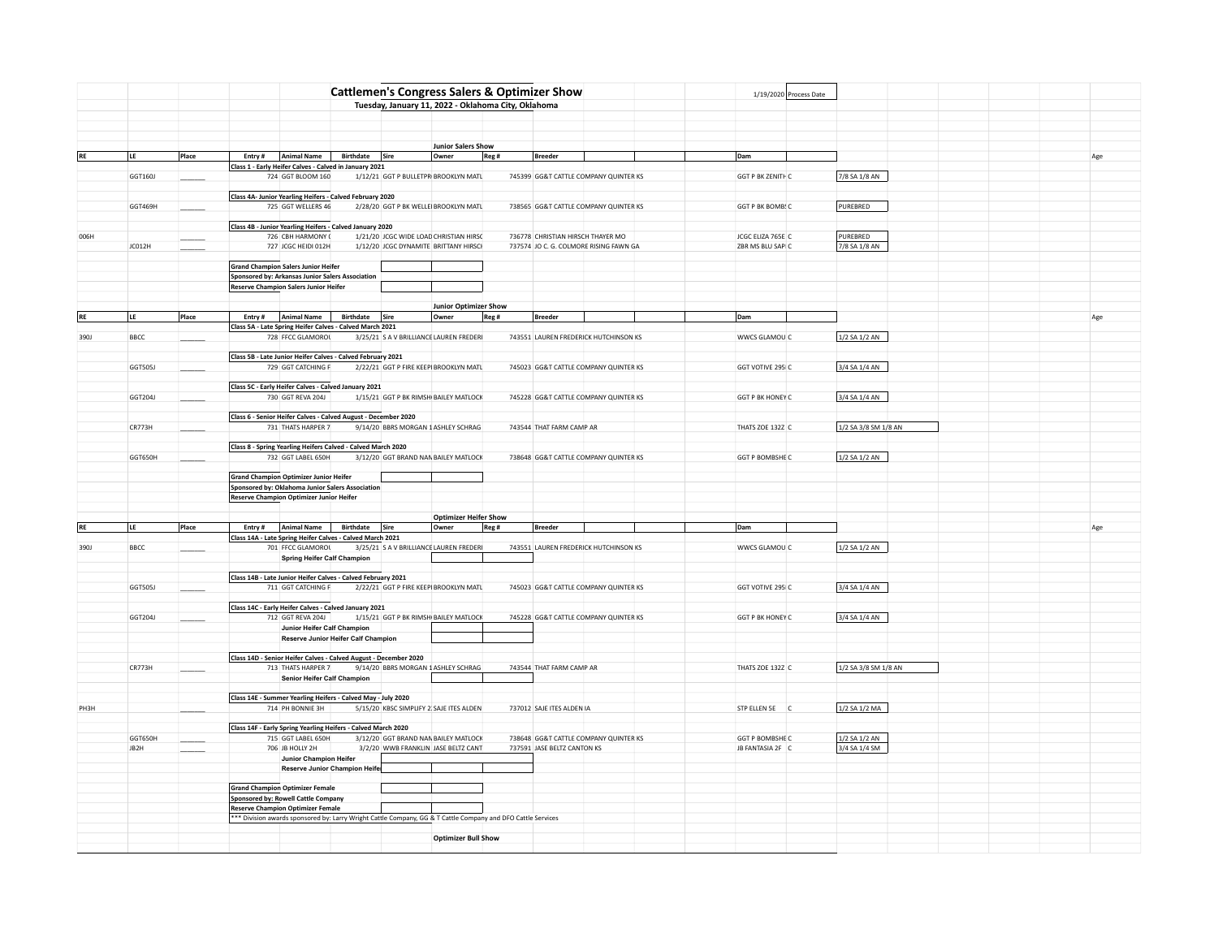|               |             |                                                                                                |                                     | <b>Cattlemen's Congress Salers &amp; Optimizer Show</b>                                                      |                |  |                                          |       |                                   |                                        |  |                          |                      |  |     |
|---------------|-------------|------------------------------------------------------------------------------------------------|-------------------------------------|--------------------------------------------------------------------------------------------------------------|----------------|--|------------------------------------------|-------|-----------------------------------|----------------------------------------|--|--------------------------|----------------------|--|-----|
|               |             |                                                                                                |                                     | Tuesday, January 11, 2022 - Oklahoma City, Oklahoma                                                          |                |  |                                          |       |                                   |                                        |  | 1/19/2020 Process Date   |                      |  |     |
|               |             |                                                                                                |                                     |                                                                                                              |                |  |                                          |       |                                   |                                        |  |                          |                      |  |     |
|               |             |                                                                                                |                                     |                                                                                                              |                |  |                                          |       |                                   |                                        |  |                          |                      |  |     |
|               |             |                                                                                                |                                     |                                                                                                              |                |  |                                          |       |                                   |                                        |  |                          |                      |  |     |
|               |             |                                                                                                |                                     |                                                                                                              |                |  |                                          |       |                                   |                                        |  |                          |                      |  |     |
| RE            | LE          | Place                                                                                          |                                     | Entry #   Animal Name                                                                                        | Birthdate Sire |  | <b>Junior Salers Show</b><br>Owner       | Reg # | <b>Breeder</b>                    |                                        |  | Dam                      |                      |  |     |
|               |             |                                                                                                |                                     | Class 1 - Early Heifer Calves - Calved in January 2021                                                       |                |  |                                          |       |                                   |                                        |  |                          |                      |  | Age |
|               | GGT160J     |                                                                                                |                                     | 724 GGT BLOOM 160                                                                                            |                |  | 1/12/21 GGT P BULLETPR BROOKLYN MATL     |       |                                   | 745399 GG&T CATTLE COMPANY QUINTER KS  |  | <b>GGT P BK ZENITH C</b> | 7/8 SA 1/8 AN        |  |     |
|               |             |                                                                                                |                                     |                                                                                                              |                |  |                                          |       |                                   |                                        |  |                          |                      |  |     |
|               |             |                                                                                                |                                     | Class 4A- Junior Yearling Heifers - Calved February 2020                                                     |                |  |                                          |       |                                   |                                        |  |                          |                      |  |     |
|               | GGT469H     |                                                                                                |                                     | 725 GGT WELLERS 46                                                                                           |                |  | 2/28/20 GGT P BK WELLEI BROOKLYN MATL    |       |                                   | 738565 GG&T CATTLE COMPANY QUINTER KS  |  | GGT P BK BOMBS C         | PUREBRED             |  |     |
|               |             |                                                                                                |                                     |                                                                                                              |                |  |                                          |       |                                   |                                        |  |                          |                      |  |     |
|               |             |                                                                                                |                                     | Class 4B - Junior Yearling Heifers - Calved January 2020                                                     |                |  |                                          |       |                                   |                                        |  |                          |                      |  |     |
| 006H          |             |                                                                                                |                                     | 726 CBH HARMONY (                                                                                            |                |  | 1/21/20 JCGC WIDE LOAD CHRISTIAN HIRSC   |       | 736778 CHRISTIAN HIRSCH THAYER MO |                                        |  | JCGC ELIZA 765E C        | PUREBRED             |  |     |
|               | JC012H      |                                                                                                |                                     | 727 JCGC HEIDI 012H                                                                                          |                |  | 1/12/20 JCGC DYNAMITE BRITTANY HIRSCH    |       |                                   | 737574 JO C. G. COLMORE RISING FAWN GA |  | ZBR MS BLU SAPI C        | 7/8 SA 1/8 AN        |  |     |
|               |             |                                                                                                |                                     |                                                                                                              |                |  |                                          |       |                                   |                                        |  |                          |                      |  |     |
|               |             | <b>Grand Champion Salers Junior Heifer</b><br>Sponsored by: Arkansas Junior Salers Association |                                     |                                                                                                              |                |  |                                          |       |                                   |                                        |  |                          |                      |  |     |
|               |             |                                                                                                |                                     | <b>Reserve Champion Salers Junior Heifer</b>                                                                 |                |  |                                          |       |                                   |                                        |  |                          |                      |  |     |
|               |             |                                                                                                |                                     |                                                                                                              |                |  |                                          |       |                                   |                                        |  |                          |                      |  |     |
|               |             |                                                                                                |                                     |                                                                                                              |                |  | <b>Junior Optimizer Show</b>             |       |                                   |                                        |  |                          |                      |  |     |
|               | ILE.        | Place                                                                                          | Entry #                             | Animal Name                                                                                                  | Birthdate Sire |  | Owner                                    | Reg # | <b>Breeder</b>                    |                                        |  | Dam                      |                      |  | Age |
|               |             |                                                                                                |                                     | Class 5A - Late Spring Heifer Calves - Calved March 2021                                                     |                |  |                                          |       |                                   |                                        |  |                          |                      |  |     |
| 390J          | <b>BBCC</b> |                                                                                                |                                     | 728 FFCC GLAMOROL                                                                                            |                |  | 3/25/21 S A V BRILLIANCE LAUREN FREDERI  |       |                                   | 743551 LAUREN FREDERICK HUTCHINSON KS  |  | WWCS GLAMOU C            | 1/2 SA 1/2 AN        |  |     |
|               |             |                                                                                                |                                     |                                                                                                              |                |  |                                          |       |                                   |                                        |  |                          |                      |  |     |
|               |             |                                                                                                |                                     | Class 5B - Late Junior Heifer Calves - Calved February 2021                                                  |                |  |                                          |       |                                   |                                        |  |                          |                      |  |     |
|               | GGT505J     |                                                                                                |                                     | 729 GGT CATCHING F                                                                                           |                |  | 2/22/21 GGT P FIRE KEEPI BROOKLYN MATL   |       |                                   | 745023 GG&T CATTLE COMPANY QUINTER KS  |  | GGT VOTIVE 295 C         | 3/4 SA 1/4 AN        |  |     |
|               |             |                                                                                                |                                     |                                                                                                              |                |  |                                          |       |                                   |                                        |  |                          |                      |  |     |
|               | GGT204J     |                                                                                                |                                     | Class 5C - Early Heifer Calves - Calved January 2021<br>730 GGT REVA 204J                                    |                |  | 1/15/21 GGT P BK RIMSHI BAILEY MATLOCK   |       |                                   | 745228 GG&T CATTLE COMPANY QUINTER KS  |  | <b>GGT P BK HONEY C</b>  | 3/4 SA 1/4 AN        |  |     |
|               |             |                                                                                                |                                     |                                                                                                              |                |  |                                          |       |                                   |                                        |  |                          |                      |  |     |
|               |             |                                                                                                |                                     | Class 6 - Senior Heifer Calves - Calved August - December 2020                                               |                |  |                                          |       |                                   |                                        |  |                          |                      |  |     |
|               | CR773H      |                                                                                                |                                     | 731 THATS HARPER 7                                                                                           |                |  | 9/14/20 BBRS MORGAN 1 ASHLEY SCHRAG      |       | 743544 THAT FARM CAMP AR          |                                        |  | THATS ZOE 132Z C         | 1/2 SA 3/8 SM 1/8 AN |  |     |
|               |             |                                                                                                |                                     |                                                                                                              |                |  |                                          |       |                                   |                                        |  |                          |                      |  |     |
|               |             |                                                                                                |                                     | Class 8 - Spring Yearling Heifers Calved - Calved March 2020                                                 |                |  |                                          |       |                                   |                                        |  |                          |                      |  |     |
|               | GGT650H     |                                                                                                |                                     | 732 GGT LABEL 650H                                                                                           |                |  | 3/12/20 GGT BRAND NAN BAILEY MATLOCK     |       |                                   | 738648 GG&T CATTLE COMPANY QUINTER KS  |  | GGT P BOMBSHE C          | 1/2 SA 1/2 AN        |  |     |
|               |             |                                                                                                |                                     |                                                                                                              |                |  |                                          |       |                                   |                                        |  |                          |                      |  |     |
|               |             |                                                                                                |                                     | <b>Grand Champion Optimizer Junior Heifer</b>                                                                |                |  |                                          |       |                                   |                                        |  |                          |                      |  |     |
|               |             |                                                                                                |                                     | Sponsored by: Oklahoma Junior Salers Association                                                             |                |  |                                          |       |                                   |                                        |  |                          |                      |  |     |
|               |             |                                                                                                |                                     | Reserve Champion Optimizer Junior Heifer                                                                     |                |  |                                          |       |                                   |                                        |  |                          |                      |  |     |
|               |             |                                                                                                |                                     |                                                                                                              |                |  |                                          |       |                                   |                                        |  |                          |                      |  |     |
| $\mathsf{RE}$ | LE          | Place                                                                                          |                                     | Entry #   Animal Name                                                                                        | Birthdate Sire |  | <b>Optimizer Heifer Show</b><br>Owner    |       | <b>Breeder</b>                    |                                        |  | Dam                      |                      |  |     |
|               |             |                                                                                                |                                     | Class 14A - Late Spring Heifer Calves - Calved March 2021                                                    |                |  |                                          |       |                                   |                                        |  |                          |                      |  | Age |
| 390J          | <b>BBCC</b> |                                                                                                |                                     | 701 FFCC GLAMOROL                                                                                            |                |  | 3/25/21 S A V BRILLIANCE LAUREN FREDERI  |       |                                   | 743551 LAUREN FREDERICK HUTCHINSON KS  |  | WWCS GLAMOU C            | 1/2 SA 1/2 AN        |  |     |
|               |             |                                                                                                |                                     | <b>Spring Heifer Calf Champion</b>                                                                           |                |  |                                          |       |                                   |                                        |  |                          |                      |  |     |
|               |             |                                                                                                |                                     |                                                                                                              |                |  |                                          |       |                                   |                                        |  |                          |                      |  |     |
|               |             |                                                                                                |                                     | Class 14B - Late Junior Heifer Calves - Calved February 2021                                                 |                |  |                                          |       |                                   |                                        |  |                          |                      |  |     |
|               | GGT505J     |                                                                                                |                                     | 711 GGT CATCHING F                                                                                           |                |  | 2/22/21 GGT P FIRE KEEPI BROOKLYN MATL   |       |                                   | 745023 GG&T CATTLE COMPANY QUINTER KS  |  | GGT VOTIVE 295 C         | 3/4 SA 1/4 AN        |  |     |
|               |             |                                                                                                |                                     |                                                                                                              |                |  |                                          |       |                                   |                                        |  |                          |                      |  |     |
|               |             |                                                                                                |                                     | Class 14C - Early Heifer Calves - Calved January 2021                                                        |                |  |                                          |       |                                   |                                        |  |                          |                      |  |     |
|               | GGT204J     |                                                                                                |                                     | 712 GGT REVA 204J                                                                                            |                |  | 1/15/21 GGT P BK RIMSHI BAILEY MATLOCK   |       |                                   | 745228 GG&T CATTLE COMPANY QUINTER KS  |  | <b>GGT P BK HONEY C</b>  | 3/4 SA 1/4 AN        |  |     |
|               |             |                                                                                                |                                     | Junior Heifer Calf Champion                                                                                  |                |  |                                          |       |                                   |                                        |  |                          |                      |  |     |
|               |             |                                                                                                |                                     | Reserve Junior Heifer Calf Champion                                                                          |                |  |                                          |       |                                   |                                        |  |                          |                      |  |     |
|               |             |                                                                                                |                                     | Class 14D - Senior Heifer Calves - Calved August - December 2020                                             |                |  |                                          |       |                                   |                                        |  |                          |                      |  |     |
|               | CR773H      |                                                                                                |                                     | 713 THATS HARPER 7                                                                                           |                |  | 9/14/20 BBRS MORGAN 1 ASHLEY SCHRAG      |       | 743544 THAT FARM CAMP AR          |                                        |  | THATS ZOE 132Z C         | 1/2 SA 3/8 SM 1/8 AN |  |     |
|               |             |                                                                                                |                                     | Senior Heifer Calf Champion                                                                                  |                |  |                                          |       |                                   |                                        |  |                          |                      |  |     |
|               |             |                                                                                                |                                     |                                                                                                              |                |  |                                          |       |                                   |                                        |  |                          |                      |  |     |
|               |             |                                                                                                |                                     | Class 14E - Summer Yearling Heifers - Calved May - July 2020                                                 |                |  |                                          |       |                                   |                                        |  |                          |                      |  |     |
| PH3H          |             |                                                                                                |                                     | 714 PH BONNIE 3H                                                                                             |                |  | 5/15/20 KBSC SIMPLIFY 2, SAJE ITES ALDEN |       | 737012 SAJE ITES ALDEN IA         |                                        |  | STP ELLEN 5E C           | 1/2 SA 1/2 MA        |  |     |
|               |             |                                                                                                |                                     |                                                                                                              |                |  |                                          |       |                                   |                                        |  |                          |                      |  |     |
|               |             |                                                                                                |                                     | Class 14F - Early Spring Yearling Heifers - Calved March 2020                                                |                |  |                                          |       |                                   |                                        |  |                          |                      |  |     |
|               | GGT650H     |                                                                                                |                                     | 715 GGT LABEL 650H                                                                                           |                |  | 3/12/20 GGT BRAND NAN BAILEY MATLOCK     |       |                                   | 738648 GG&T CATTLE COMPANY QUINTER KS  |  | GGT P BOMBSHE C          | $1/2$ SA $1/2$ AN    |  |     |
|               | JB2H        |                                                                                                |                                     | 706 JB HOLLY 2H                                                                                              |                |  | 3/2/20 WWB FRANKLIN JASE BELTZ CANT      |       | 737591 JASE BELTZ CANTON KS       |                                        |  | JB FANTASIA 2F C         | 3/4 SA 1/4 SM        |  |     |
|               |             |                                                                                                |                                     | Junior Champion Heifer<br>Reserve Junior Champion Heife                                                      |                |  |                                          |       |                                   |                                        |  |                          |                      |  |     |
|               |             |                                                                                                |                                     |                                                                                                              |                |  |                                          |       |                                   |                                        |  |                          |                      |  |     |
|               |             |                                                                                                |                                     | <b>Grand Champion Optimizer Female</b>                                                                       |                |  |                                          |       |                                   |                                        |  |                          |                      |  |     |
|               |             |                                                                                                | Sponsored by: Rowell Cattle Company |                                                                                                              |                |  |                                          |       |                                   |                                        |  |                          |                      |  |     |
|               |             |                                                                                                |                                     | <b>Reserve Champion Optimizer Female</b>                                                                     |                |  |                                          |       |                                   |                                        |  |                          |                      |  |     |
|               |             |                                                                                                |                                     | *** Division awards sponsored by: Larry Wright Cattle Company, GG & T Cattle Company and DFO Cattle Services |                |  |                                          |       |                                   |                                        |  |                          |                      |  |     |
|               |             |                                                                                                |                                     |                                                                                                              |                |  |                                          |       |                                   |                                        |  |                          |                      |  |     |
|               |             |                                                                                                |                                     |                                                                                                              |                |  | <b>Optimizer Bull Show</b>               |       |                                   |                                        |  |                          |                      |  |     |
|               |             |                                                                                                |                                     |                                                                                                              |                |  |                                          |       |                                   |                                        |  |                          |                      |  |     |